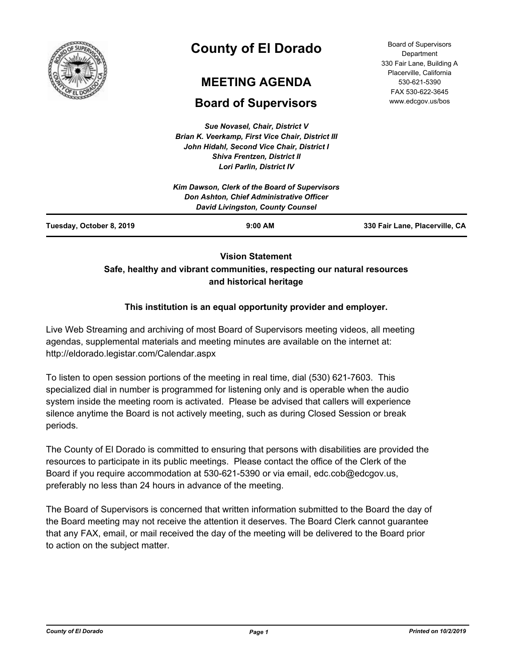

# **County of El Dorado**

# **MEETING AGENDA**

# **Board of Supervisors**

*Sue Novasel, Chair, District V Brian K. Veerkamp, First Vice Chair, District III John Hidahl, Second Vice Chair, District I Shiva Frentzen, District II Lori Parlin, District IV*

| <b>Board of Supervisors</b> |
|-----------------------------|
| Department                  |
| 330 Fair Lane, Building A   |
| Placerville, California     |
| 530-621-5390                |
| FAX 530-622-3645            |
| www.edcgov.us/bos           |

## **Vision Statement Safe, healthy and vibrant communities, respecting our natural resources and historical heritage**

## **This institution is an equal opportunity provider and employer.**

Live Web Streaming and archiving of most Board of Supervisors meeting videos, all meeting agendas, supplemental materials and meeting minutes are available on the internet at: http://eldorado.legistar.com/Calendar.aspx

To listen to open session portions of the meeting in real time, dial (530) 621-7603. This specialized dial in number is programmed for listening only and is operable when the audio system inside the meeting room is activated. Please be advised that callers will experience silence anytime the Board is not actively meeting, such as during Closed Session or break periods.

The County of El Dorado is committed to ensuring that persons with disabilities are provided the resources to participate in its public meetings. Please contact the office of the Clerk of the Board if you require accommodation at 530-621-5390 or via email, edc.cob@edcgov.us, preferably no less than 24 hours in advance of the meeting.

The Board of Supervisors is concerned that written information submitted to the Board the day of the Board meeting may not receive the attention it deserves. The Board Clerk cannot guarantee that any FAX, email, or mail received the day of the meeting will be delivered to the Board prior to action on the subject matter.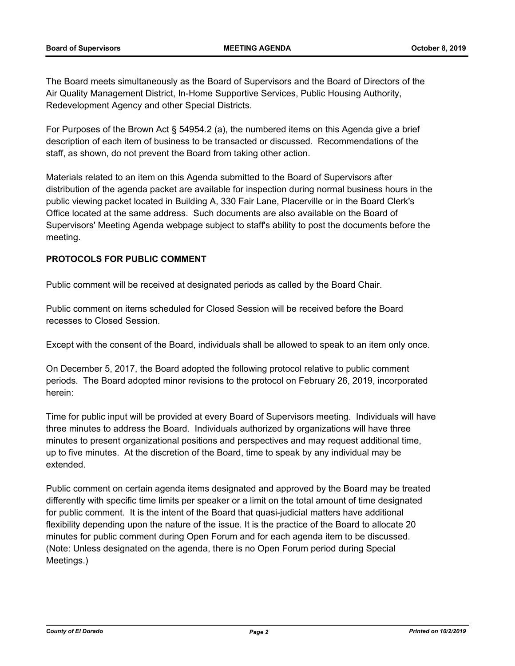The Board meets simultaneously as the Board of Supervisors and the Board of Directors of the Air Quality Management District, In-Home Supportive Services, Public Housing Authority, Redevelopment Agency and other Special Districts.

For Purposes of the Brown Act § 54954.2 (a), the numbered items on this Agenda give a brief description of each item of business to be transacted or discussed. Recommendations of the staff, as shown, do not prevent the Board from taking other action.

Materials related to an item on this Agenda submitted to the Board of Supervisors after distribution of the agenda packet are available for inspection during normal business hours in the public viewing packet located in Building A, 330 Fair Lane, Placerville or in the Board Clerk's Office located at the same address. Such documents are also available on the Board of Supervisors' Meeting Agenda webpage subject to staff's ability to post the documents before the meeting.

### **PROTOCOLS FOR PUBLIC COMMENT**

Public comment will be received at designated periods as called by the Board Chair.

Public comment on items scheduled for Closed Session will be received before the Board recesses to Closed Session.

Except with the consent of the Board, individuals shall be allowed to speak to an item only once.

On December 5, 2017, the Board adopted the following protocol relative to public comment periods. The Board adopted minor revisions to the protocol on February 26, 2019, incorporated herein:

Time for public input will be provided at every Board of Supervisors meeting. Individuals will have three minutes to address the Board. Individuals authorized by organizations will have three minutes to present organizational positions and perspectives and may request additional time, up to five minutes. At the discretion of the Board, time to speak by any individual may be extended.

Public comment on certain agenda items designated and approved by the Board may be treated differently with specific time limits per speaker or a limit on the total amount of time designated for public comment. It is the intent of the Board that quasi-judicial matters have additional flexibility depending upon the nature of the issue. It is the practice of the Board to allocate 20 minutes for public comment during Open Forum and for each agenda item to be discussed. (Note: Unless designated on the agenda, there is no Open Forum period during Special Meetings.)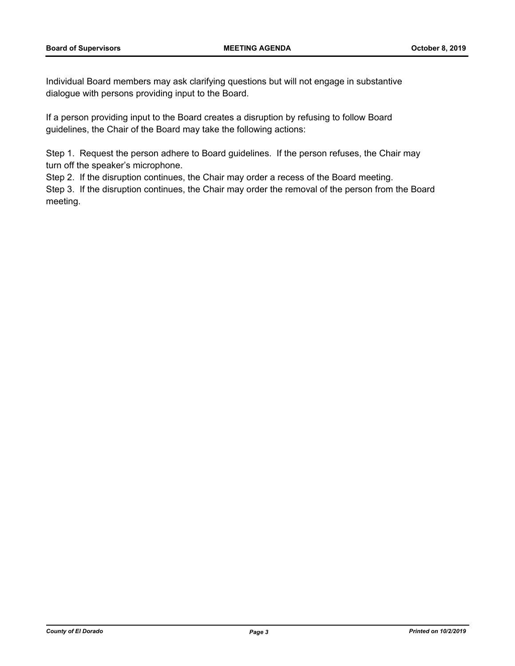Individual Board members may ask clarifying questions but will not engage in substantive dialogue with persons providing input to the Board.

If a person providing input to the Board creates a disruption by refusing to follow Board guidelines, the Chair of the Board may take the following actions:

Step 1. Request the person adhere to Board guidelines. If the person refuses, the Chair may turn off the speaker's microphone.

Step 2. If the disruption continues, the Chair may order a recess of the Board meeting.

Step 3. If the disruption continues, the Chair may order the removal of the person from the Board meeting.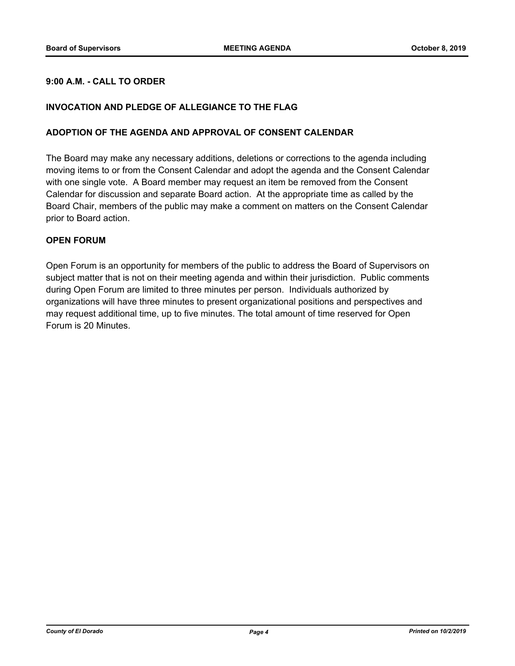### **9:00 A.M. - CALL TO ORDER**

#### **INVOCATION AND PLEDGE OF ALLEGIANCE TO THE FLAG**

#### **ADOPTION OF THE AGENDA AND APPROVAL OF CONSENT CALENDAR**

The Board may make any necessary additions, deletions or corrections to the agenda including moving items to or from the Consent Calendar and adopt the agenda and the Consent Calendar with one single vote. A Board member may request an item be removed from the Consent Calendar for discussion and separate Board action. At the appropriate time as called by the Board Chair, members of the public may make a comment on matters on the Consent Calendar prior to Board action.

#### **OPEN FORUM**

Open Forum is an opportunity for members of the public to address the Board of Supervisors on subject matter that is not on their meeting agenda and within their jurisdiction. Public comments during Open Forum are limited to three minutes per person. Individuals authorized by organizations will have three minutes to present organizational positions and perspectives and may request additional time, up to five minutes. The total amount of time reserved for Open Forum is 20 Minutes.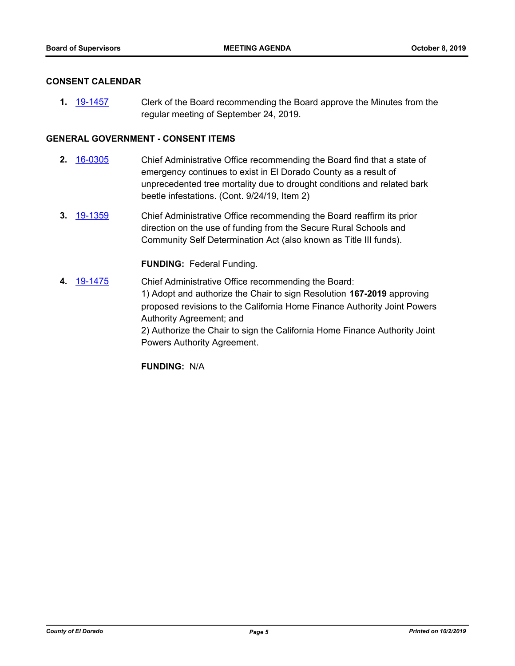#### **CONSENT CALENDAR**

**1.** [19-1457](http://eldorado.legistar.com/gateway.aspx?m=l&id=/matter.aspx?key=26778) Clerk of the Board recommending the Board approve the Minutes from the regular meeting of September 24, 2019.

#### **GENERAL GOVERNMENT - CONSENT ITEMS**

- **2.** [16-0305](http://eldorado.legistar.com/gateway.aspx?m=l&id=/matter.aspx?key=20961) Chief Administrative Office recommending the Board find that a state of emergency continues to exist in El Dorado County as a result of unprecedented tree mortality due to drought conditions and related bark beetle infestations. (Cont. 9/24/19, Item 2)
- **3.** [19-1359](http://eldorado.legistar.com/gateway.aspx?m=l&id=/matter.aspx?key=26680) Chief Administrative Office recommending the Board reaffirm its prior direction on the use of funding from the Secure Rural Schools and Community Self Determination Act (also known as Title III funds).

#### **FUNDING:** Federal Funding.

**4.** [19-1475](http://eldorado.legistar.com/gateway.aspx?m=l&id=/matter.aspx?key=26796) Chief Administrative Office recommending the Board: 1) Adopt and authorize the Chair to sign Resolution **167-2019** approving proposed revisions to the California Home Finance Authority Joint Powers Authority Agreement; and 2) Authorize the Chair to sign the California Home Finance Authority Joint Powers Authority Agreement.

**FUNDING:** N/A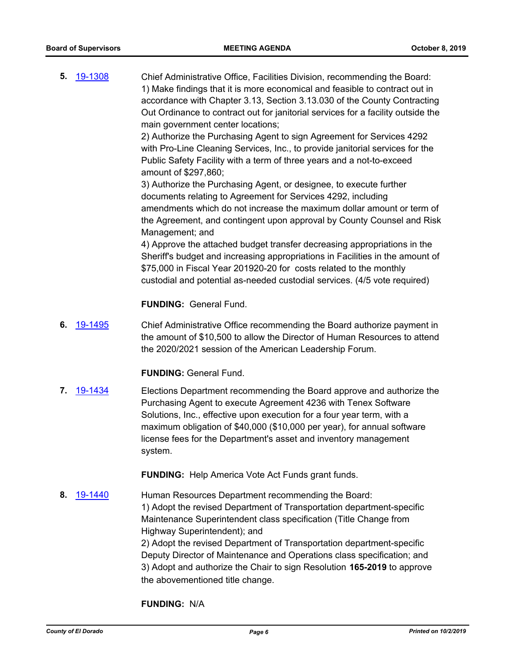**5.** [19-1308](http://eldorado.legistar.com/gateway.aspx?m=l&id=/matter.aspx?key=26630) Chief Administrative Office, Facilities Division, recommending the Board: 1) Make findings that it is more economical and feasible to contract out in accordance with Chapter 3.13, Section 3.13.030 of the County Contracting Out Ordinance to contract out for janitorial services for a facility outside the main government center locations;

> 2) Authorize the Purchasing Agent to sign Agreement for Services 4292 with Pro-Line Cleaning Services, Inc., to provide janitorial services for the Public Safety Facility with a term of three years and a not-to-exceed amount of \$297,860;

3) Authorize the Purchasing Agent, or designee, to execute further documents relating to Agreement for Services 4292, including amendments which do not increase the maximum dollar amount or term of the Agreement, and contingent upon approval by County Counsel and Risk Management; and

4) Approve the attached budget transfer decreasing appropriations in the Sheriff's budget and increasing appropriations in Facilities in the amount of \$75,000 in Fiscal Year 201920-20 for costs related to the monthly custodial and potential as-needed custodial services. (4/5 vote required)

### **FUNDING:** General Fund.

**6.** [19-1495](http://eldorado.legistar.com/gateway.aspx?m=l&id=/matter.aspx?key=26817) Chief Administrative Office recommending the Board authorize payment in the amount of \$10,500 to allow the Director of Human Resources to attend the 2020/2021 session of the American Leadership Forum.

#### **FUNDING:** General Fund.

**7.** [19-1434](http://eldorado.legistar.com/gateway.aspx?m=l&id=/matter.aspx?key=26755) Elections Department recommending the Board approve and authorize the Purchasing Agent to execute Agreement 4236 with Tenex Software Solutions, Inc., effective upon execution for a four year term, with a maximum obligation of \$40,000 (\$10,000 per year), for annual software license fees for the Department's asset and inventory management system.

**FUNDING:** Help America Vote Act Funds grant funds.

**8.** [19-1440](http://eldorado.legistar.com/gateway.aspx?m=l&id=/matter.aspx?key=26761) Human Resources Department recommending the Board: 1) Adopt the revised Department of Transportation department-specific Maintenance Superintendent class specification (Title Change from Highway Superintendent); and 2) Adopt the revised Department of Transportation department-specific Deputy Director of Maintenance and Operations class specification; and 3) Adopt and authorize the Chair to sign Resolution **165-2019** to approve the abovementioned title change.

#### **FUNDING:** N/A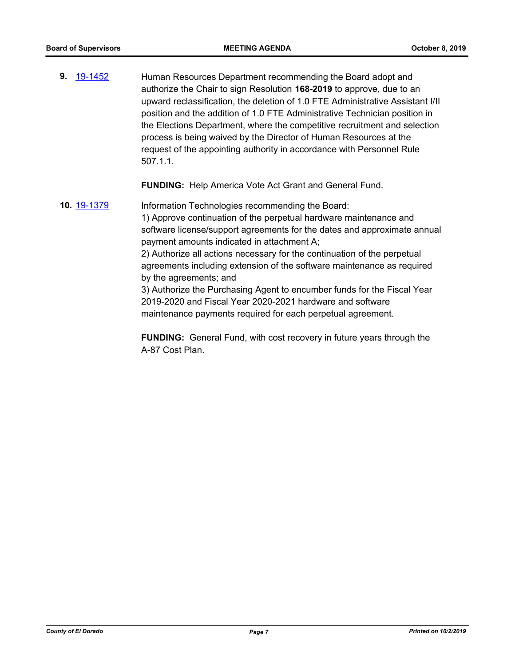**9.** [19-1452](http://eldorado.legistar.com/gateway.aspx?m=l&id=/matter.aspx?key=26773) Human Resources Department recommending the Board adopt and authorize the Chair to sign Resolution **168-2019** to approve, due to an upward reclassification, the deletion of 1.0 FTE Administrative Assistant I/II position and the addition of 1.0 FTE Administrative Technician position in the Elections Department, where the competitive recruitment and selection process is being waived by the Director of Human Resources at the request of the appointing authority in accordance with Personnel Rule 507.1.1.

**FUNDING:** Help America Vote Act Grant and General Fund.

**10.** [19-1379](http://eldorado.legistar.com/gateway.aspx?m=l&id=/matter.aspx?key=26700) Information Technologies recommending the Board: 1) Approve continuation of the perpetual hardware maintenance and software license/support agreements for the dates and approximate annual payment amounts indicated in attachment A; 2) Authorize all actions necessary for the continuation of the perpetual agreements including extension of the software maintenance as required by the agreements; and 3) Authorize the Purchasing Agent to encumber funds for the Fiscal Year 2019-2020 and Fiscal Year 2020-2021 hardware and software maintenance payments required for each perpetual agreement.

> **FUNDING:** General Fund, with cost recovery in future years through the A-87 Cost Plan.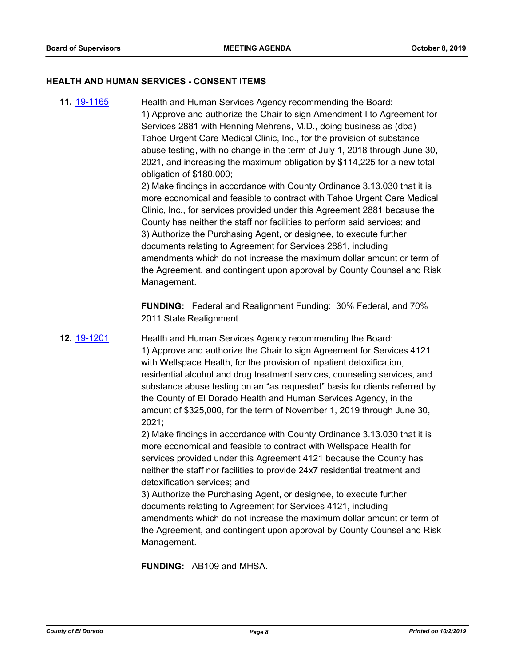#### **HEALTH AND HUMAN SERVICES - CONSENT ITEMS**

Management.

**11.** [19-1165](http://eldorado.legistar.com/gateway.aspx?m=l&id=/matter.aspx?key=26488) Health and Human Services Agency recommending the Board: 1) Approve and authorize the Chair to sign Amendment I to Agreement for Services 2881 with Henning Mehrens, M.D., doing business as (dba) Tahoe Urgent Care Medical Clinic, Inc., for the provision of substance abuse testing, with no change in the term of July 1, 2018 through June 30, 2021, and increasing the maximum obligation by \$114,225 for a new total obligation of \$180,000; 2) Make findings in accordance with County Ordinance 3.13.030 that it is more economical and feasible to contract with Tahoe Urgent Care Medical Clinic, Inc., for services provided under this Agreement 2881 because the County has neither the staff nor facilities to perform said services; and 3) Authorize the Purchasing Agent, or designee, to execute further documents relating to Agreement for Services 2881, including amendments which do not increase the maximum dollar amount or term of the Agreement, and contingent upon approval by County Counsel and Risk

> **FUNDING:** Federal and Realignment Funding: 30% Federal, and 70% 2011 State Realignment.

**12.** [19-1201](http://eldorado.legistar.com/gateway.aspx?m=l&id=/matter.aspx?key=26524) Health and Human Services Agency recommending the Board: 1) Approve and authorize the Chair to sign Agreement for Services 4121 with Wellspace Health, for the provision of inpatient detoxification, residential alcohol and drug treatment services, counseling services, and substance abuse testing on an "as requested" basis for clients referred by the County of El Dorado Health and Human Services Agency, in the amount of \$325,000, for the term of November 1, 2019 through June 30, 2021;

> 2) Make findings in accordance with County Ordinance 3.13.030 that it is more economical and feasible to contract with Wellspace Health for services provided under this Agreement 4121 because the County has neither the staff nor facilities to provide 24x7 residential treatment and detoxification services; and

3) Authorize the Purchasing Agent, or designee, to execute further documents relating to Agreement for Services 4121, including amendments which do not increase the maximum dollar amount or term of the Agreement, and contingent upon approval by County Counsel and Risk Management.

**FUNDING:** AB109 and MHSA.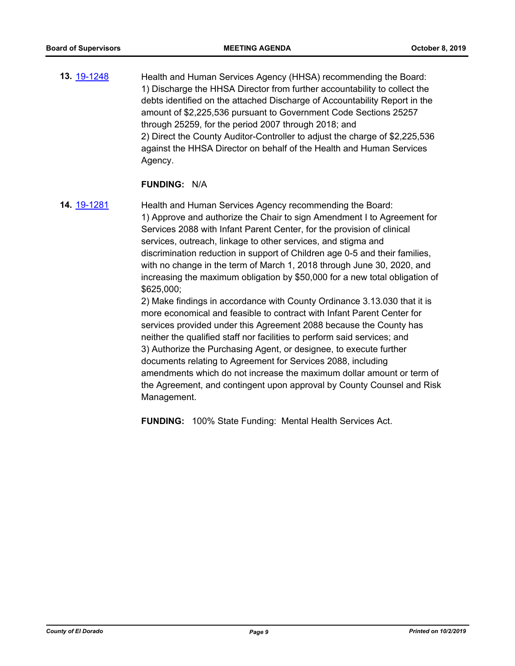**13.** [19-1248](http://eldorado.legistar.com/gateway.aspx?m=l&id=/matter.aspx?key=26570) Health and Human Services Agency (HHSA) recommending the Board: 1) Discharge the HHSA Director from further accountability to collect the debts identified on the attached Discharge of Accountability Report in the amount of \$2,225,536 pursuant to Government Code Sections 25257 through 25259, for the period 2007 through 2018; and 2) Direct the County Auditor-Controller to adjust the charge of \$2,225,536 against the HHSA Director on behalf of the Health and Human Services Agency.

#### **FUNDING:** N/A

**14.** [19-1281](http://eldorado.legistar.com/gateway.aspx?m=l&id=/matter.aspx?key=26603) Health and Human Services Agency recommending the Board: 1) Approve and authorize the Chair to sign Amendment I to Agreement for Services 2088 with Infant Parent Center, for the provision of clinical services, outreach, linkage to other services, and stigma and discrimination reduction in support of Children age 0-5 and their families, with no change in the term of March 1, 2018 through June 30, 2020, and increasing the maximum obligation by \$50,000 for a new total obligation of \$625,000;

> 2) Make findings in accordance with County Ordinance 3.13.030 that it is more economical and feasible to contract with Infant Parent Center for services provided under this Agreement 2088 because the County has neither the qualified staff nor facilities to perform said services; and 3) Authorize the Purchasing Agent, or designee, to execute further documents relating to Agreement for Services 2088, including amendments which do not increase the maximum dollar amount or term of the Agreement, and contingent upon approval by County Counsel and Risk Management.

**FUNDING:** 100% State Funding: Mental Health Services Act.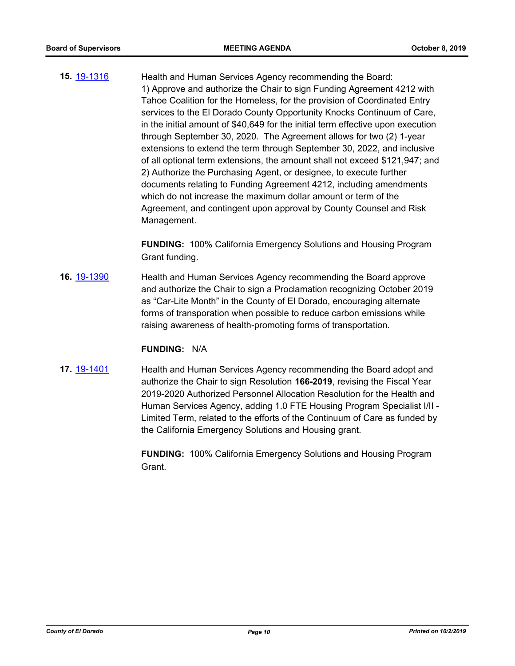**15.** [19-1316](http://eldorado.legistar.com/gateway.aspx?m=l&id=/matter.aspx?key=26638) Health and Human Services Agency recommending the Board: 1) Approve and authorize the Chair to sign Funding Agreement 4212 with Tahoe Coalition for the Homeless, for the provision of Coordinated Entry services to the El Dorado County Opportunity Knocks Continuum of Care, in the initial amount of \$40,649 for the initial term effective upon execution through September 30, 2020. The Agreement allows for two (2) 1-year extensions to extend the term through September 30, 2022, and inclusive of all optional term extensions, the amount shall not exceed \$121,947; and 2) Authorize the Purchasing Agent, or designee, to execute further documents relating to Funding Agreement 4212, including amendments which do not increase the maximum dollar amount or term of the Agreement, and contingent upon approval by County Counsel and Risk Management.

> **FUNDING:** 100% California Emergency Solutions and Housing Program Grant funding.

**16.** [19-1390](http://eldorado.legistar.com/gateway.aspx?m=l&id=/matter.aspx?key=26711) Health and Human Services Agency recommending the Board approve and authorize the Chair to sign a Proclamation recognizing October 2019 as "Car-Lite Month" in the County of El Dorado, encouraging alternate forms of transporation when possible to reduce carbon emissions while raising awareness of health-promoting forms of transportation.

#### **FUNDING:** N/A

**17.** [19-1401](http://eldorado.legistar.com/gateway.aspx?m=l&id=/matter.aspx?key=26722) Health and Human Services Agency recommending the Board adopt and authorize the Chair to sign Resolution **166-2019**, revising the Fiscal Year 2019-2020 Authorized Personnel Allocation Resolution for the Health and Human Services Agency, adding 1.0 FTE Housing Program Specialist I/II - Limited Term, related to the efforts of the Continuum of Care as funded by the California Emergency Solutions and Housing grant.

> **FUNDING:** 100% California Emergency Solutions and Housing Program Grant.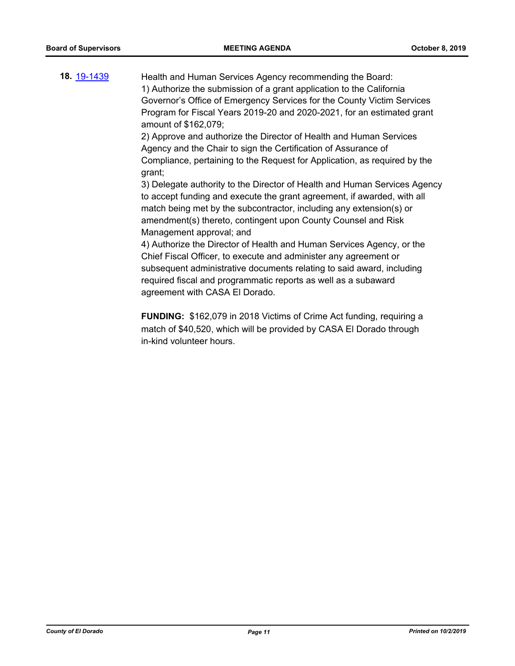**18.** [19-1439](http://eldorado.legistar.com/gateway.aspx?m=l&id=/matter.aspx?key=26760) Health and Human Services Agency recommending the Board: 1) Authorize the submission of a grant application to the California Governor's Office of Emergency Services for the County Victim Services Program for Fiscal Years 2019-20 and 2020-2021, for an estimated grant amount of \$162,079;

> 2) Approve and authorize the Director of Health and Human Services Agency and the Chair to sign the Certification of Assurance of Compliance, pertaining to the Request for Application, as required by the grant;

3) Delegate authority to the Director of Health and Human Services Agency to accept funding and execute the grant agreement, if awarded, with all match being met by the subcontractor, including any extension(s) or amendment(s) thereto, contingent upon County Counsel and Risk Management approval; and

4) Authorize the Director of Health and Human Services Agency, or the Chief Fiscal Officer, to execute and administer any agreement or subsequent administrative documents relating to said award, including required fiscal and programmatic reports as well as a subaward agreement with CASA El Dorado.

**FUNDING:** \$162,079 in 2018 Victims of Crime Act funding, requiring a match of \$40,520, which will be provided by CASA El Dorado through in-kind volunteer hours.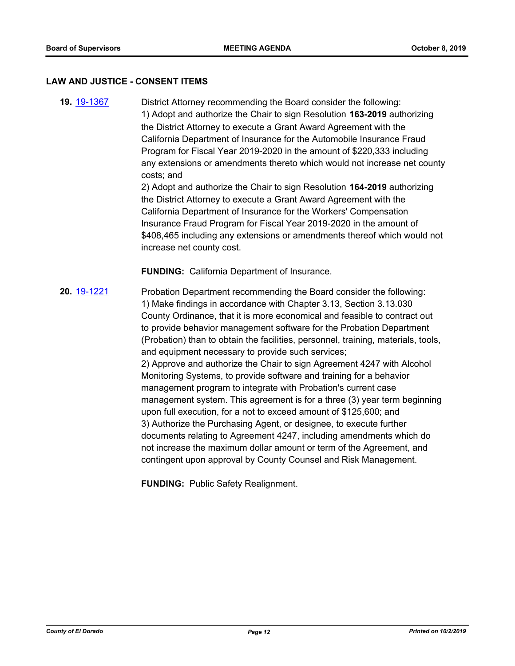#### **LAW AND JUSTICE - CONSENT ITEMS**

**19.** [19-1367](http://eldorado.legistar.com/gateway.aspx?m=l&id=/matter.aspx?key=26688) District Attorney recommending the Board consider the following: 1) Adopt and authorize the Chair to sign Resolution **163-2019** authorizing the District Attorney to execute a Grant Award Agreement with the California Department of Insurance for the Automobile Insurance Fraud Program for Fiscal Year 2019-2020 in the amount of \$220,333 including any extensions or amendments thereto which would not increase net county costs; and

2) Adopt and authorize the Chair to sign Resolution **164-2019** authorizing the District Attorney to execute a Grant Award Agreement with the California Department of Insurance for the Workers' Compensation Insurance Fraud Program for Fiscal Year 2019-2020 in the amount of \$408,465 including any extensions or amendments thereof which would not increase net county cost.

**FUNDING:** California Department of Insurance.

**20.** [19-1221](http://eldorado.legistar.com/gateway.aspx?m=l&id=/matter.aspx?key=26543) Probation Department recommending the Board consider the following: 1) Make findings in accordance with Chapter 3.13, Section 3.13.030 County Ordinance, that it is more economical and feasible to contract out to provide behavior management software for the Probation Department (Probation) than to obtain the facilities, personnel, training, materials, tools, and equipment necessary to provide such services; 2) Approve and authorize the Chair to sign Agreement 4247 with Alcohol Monitoring Systems, to provide software and training for a behavior management program to integrate with Probation's current case management system. This agreement is for a three (3) year term beginning upon full execution, for a not to exceed amount of \$125,600; and 3) Authorize the Purchasing Agent, or designee, to execute further documents relating to Agreement 4247, including amendments which do not increase the maximum dollar amount or term of the Agreement, and contingent upon approval by County Counsel and Risk Management.

**FUNDING:** Public Safety Realignment.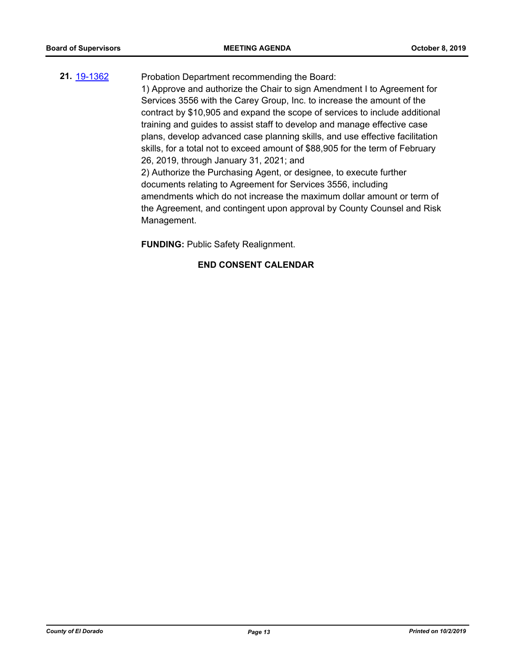# **21.** [19-1362](http://eldorado.legistar.com/gateway.aspx?m=l&id=/matter.aspx?key=26683) Probation Department recommending the Board:

1) Approve and authorize the Chair to sign Amendment I to Agreement for Services 3556 with the Carey Group, Inc. to increase the amount of the contract by \$10,905 and expand the scope of services to include additional training and guides to assist staff to develop and manage effective case plans, develop advanced case planning skills, and use effective facilitation skills, for a total not to exceed amount of \$88,905 for the term of February 26, 2019, through January 31, 2021; and

2) Authorize the Purchasing Agent, or designee, to execute further documents relating to Agreement for Services 3556, including amendments which do not increase the maximum dollar amount or term of the Agreement, and contingent upon approval by County Counsel and Risk Management.

**FUNDING:** Public Safety Realignment.

#### **END CONSENT CALENDAR**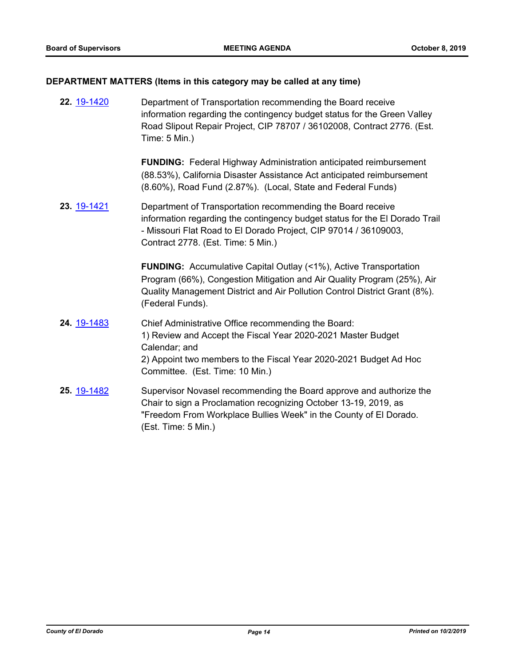# **DEPARTMENT MATTERS (Items in this category may be called at any time)**

| 22. 19-1420 | Department of Transportation recommending the Board receive<br>information regarding the contingency budget status for the Green Valley<br>Road Slipout Repair Project, CIP 78707 / 36102008, Contract 2776. (Est.<br>Time: 5 Min.)                   |
|-------------|-------------------------------------------------------------------------------------------------------------------------------------------------------------------------------------------------------------------------------------------------------|
|             | <b>FUNDING:</b> Federal Highway Administration anticipated reimbursement<br>(88.53%), California Disaster Assistance Act anticipated reimbursement<br>(8.60%), Road Fund (2.87%). (Local, State and Federal Funds)                                    |
| 23. 19-1421 | Department of Transportation recommending the Board receive<br>information regarding the contingency budget status for the El Dorado Trail<br>- Missouri Flat Road to El Dorado Project, CIP 97014 / 36109003,<br>Contract 2778. (Est. Time: 5 Min.)  |
|             | <b>FUNDING:</b> Accumulative Capital Outlay (<1%), Active Transportation<br>Program (66%), Congestion Mitigation and Air Quality Program (25%), Air<br>Quality Management District and Air Pollution Control District Grant (8%).<br>(Federal Funds). |
| 24. 19-1483 | Chief Administrative Office recommending the Board:<br>1) Review and Accept the Fiscal Year 2020-2021 Master Budget<br>Calendar; and<br>2) Appoint two members to the Fiscal Year 2020-2021 Budget Ad Hoc<br>Committee. (Est. Time: 10 Min.)          |
| 25. 19-1482 | Supervisor Novasel recommending the Board approve and authorize the<br>Chair to sign a Proclamation recognizing October 13-19, 2019, as<br>"Freedom From Workplace Bullies Week" in the County of El Dorado.<br>(Est. Time: 5 Min.)                   |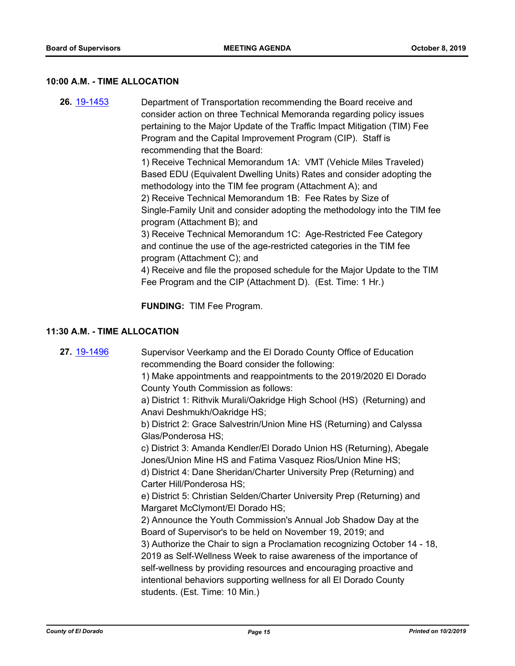#### **10:00 A.M. - TIME ALLOCATION**

**26.** [19-1453](http://eldorado.legistar.com/gateway.aspx?m=l&id=/matter.aspx?key=26774) Department of Transportation recommending the Board receive and consider action on three Technical Memoranda regarding policy issues pertaining to the Major Update of the Traffic Impact Mitigation (TIM) Fee Program and the Capital Improvement Program (CIP). Staff is recommending that the Board: 1) Receive Technical Memorandum 1A: VMT (Vehicle Miles Traveled)

Based EDU (Equivalent Dwelling Units) Rates and consider adopting the methodology into the TIM fee program (Attachment A); and 2) Receive Technical Memorandum 1B: Fee Rates by Size of Single-Family Unit and consider adopting the methodology into the TIM fee program (Attachment B); and

3) Receive Technical Memorandum 1C: Age-Restricted Fee Category and continue the use of the age-restricted categories in the TIM fee program (Attachment C); and

4) Receive and file the proposed schedule for the Major Update to the TIM Fee Program and the CIP (Attachment D). (Est. Time: 1 Hr.)

**FUNDING:** TIM Fee Program.

#### **11:30 A.M. - TIME ALLOCATION**

**27.** [19-1496](http://eldorado.legistar.com/gateway.aspx?m=l&id=/matter.aspx?key=26818) Supervisor Veerkamp and the El Dorado County Office of Education recommending the Board consider the following:

> 1) Make appointments and reappointments to the 2019/2020 El Dorado County Youth Commission as follows:

> a) District 1: Rithvik Murali/Oakridge High School (HS) (Returning) and Anavi Deshmukh/Oakridge HS;

b) District 2: Grace Salvestrin/Union Mine HS (Returning) and Calyssa Glas/Ponderosa HS;

c) District 3: Amanda Kendler/El Dorado Union HS (Returning), Abegale Jones/Union Mine HS and Fatima Vasquez Rios/Union Mine HS;

d) District 4: Dane Sheridan/Charter University Prep (Returning) and Carter Hill/Ponderosa HS;

e) District 5: Christian Selden/Charter University Prep (Returning) and Margaret McClymont/El Dorado HS;

2) Announce the Youth Commission's Annual Job Shadow Day at the Board of Supervisor's to be held on November 19, 2019; and

3) Authorize the Chair to sign a Proclamation recognizing October 14 - 18, 2019 as Self-Wellness Week to raise awareness of the importance of self-wellness by providing resources and encouraging proactive and intentional behaviors supporting wellness for all El Dorado County students. (Est. Time: 10 Min.)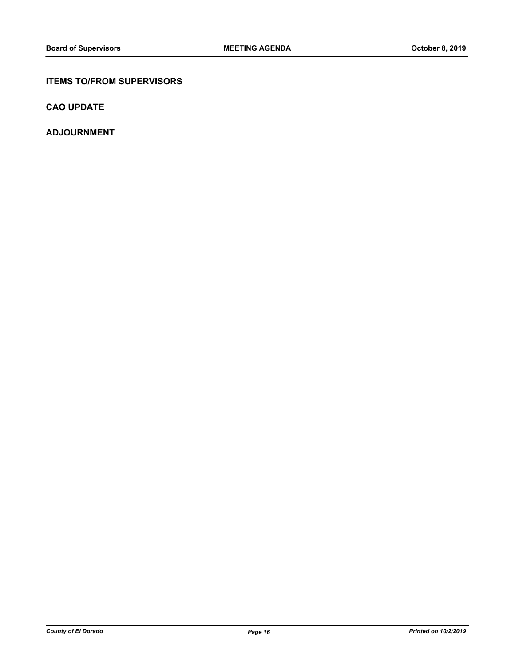#### **ITEMS TO/FROM SUPERVISORS**

**CAO UPDATE**

**ADJOURNMENT**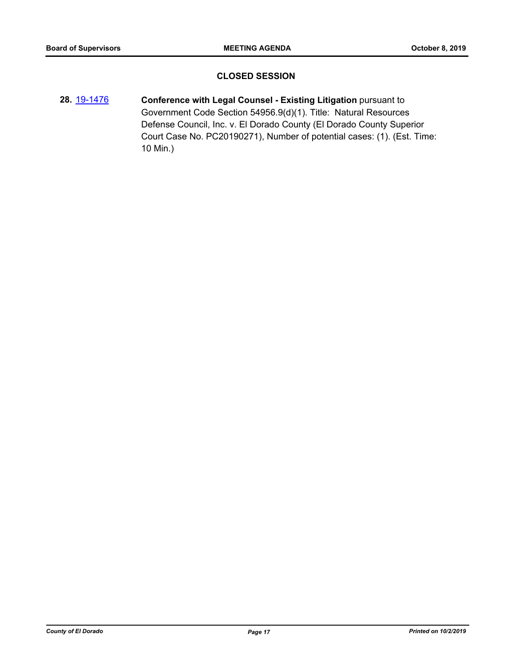#### **CLOSED SESSION**

**28.** [19-1476](http://eldorado.legistar.com/gateway.aspx?m=l&id=/matter.aspx?key=26797) **Conference with Legal Counsel - Existing Litigation** pursuant to Government Code Section 54956.9(d)(1). Title: Natural Resources Defense Council, Inc. v. El Dorado County (El Dorado County Superior Court Case No. PC20190271), Number of potential cases: (1). (Est. Time: 10 Min.)